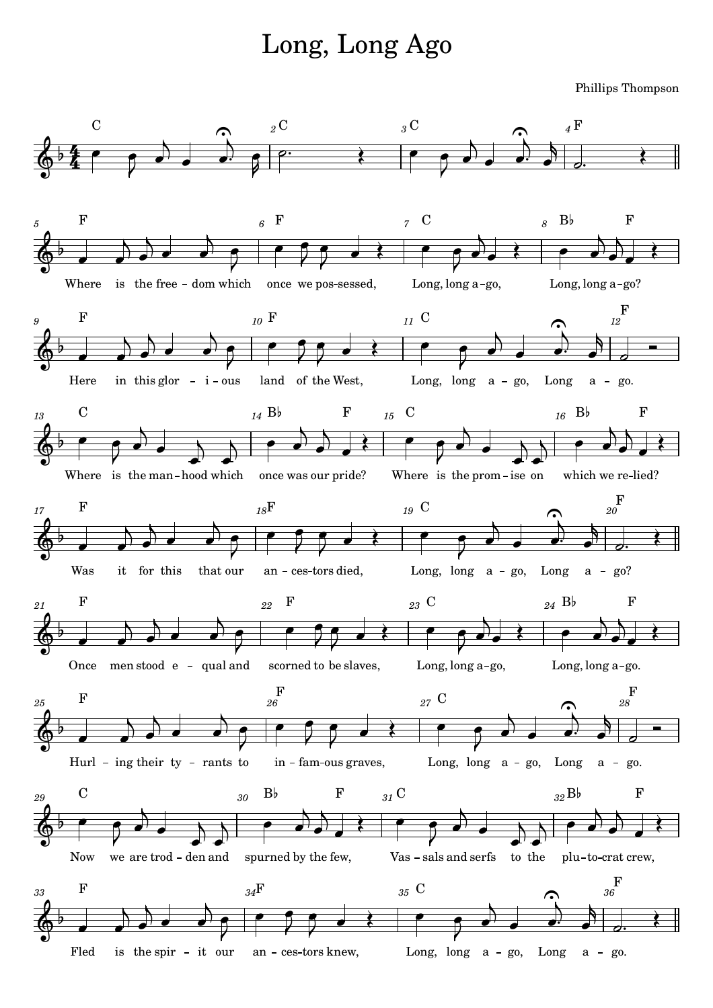## Long, Long Ago

Phillips Thompson

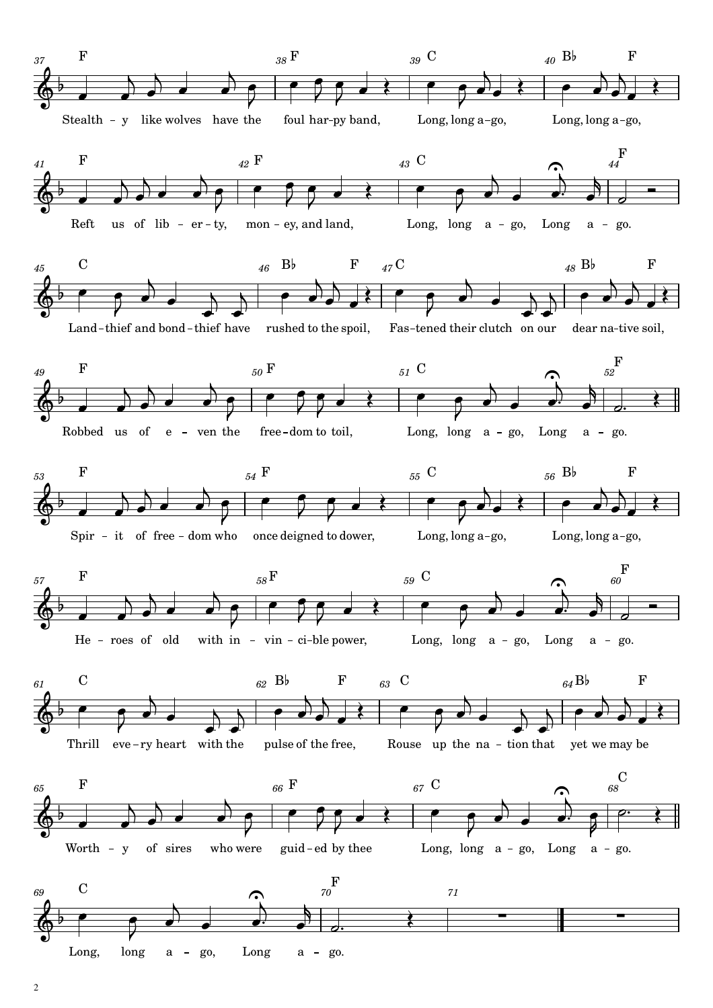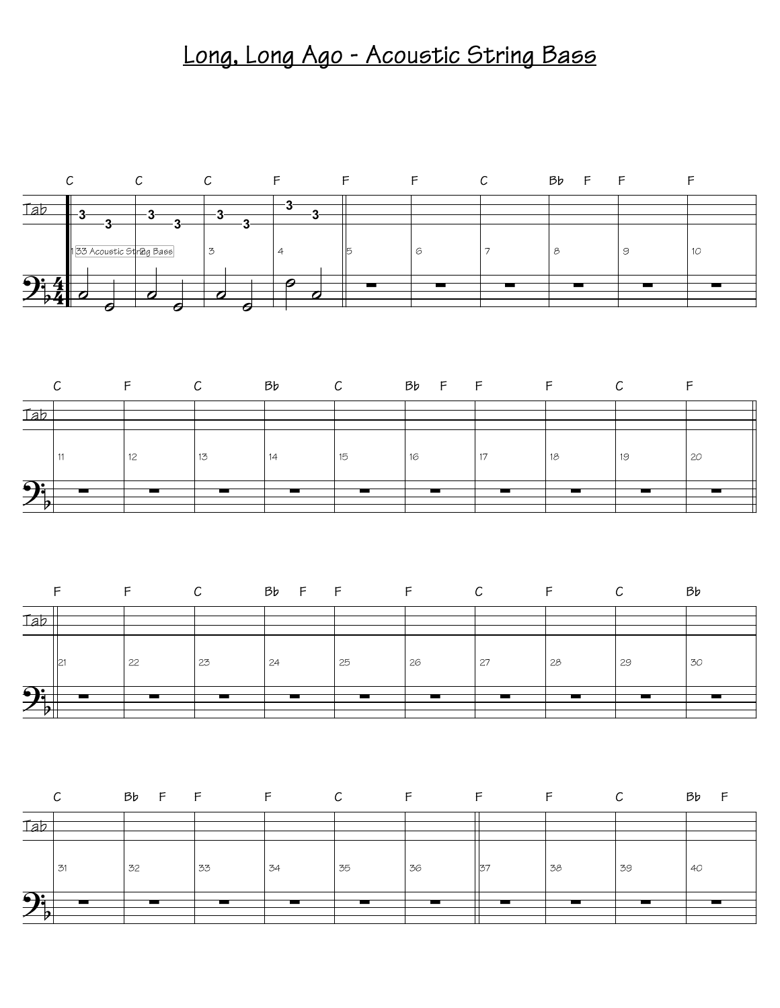## Long, Long Ago - Acoustic String Bass

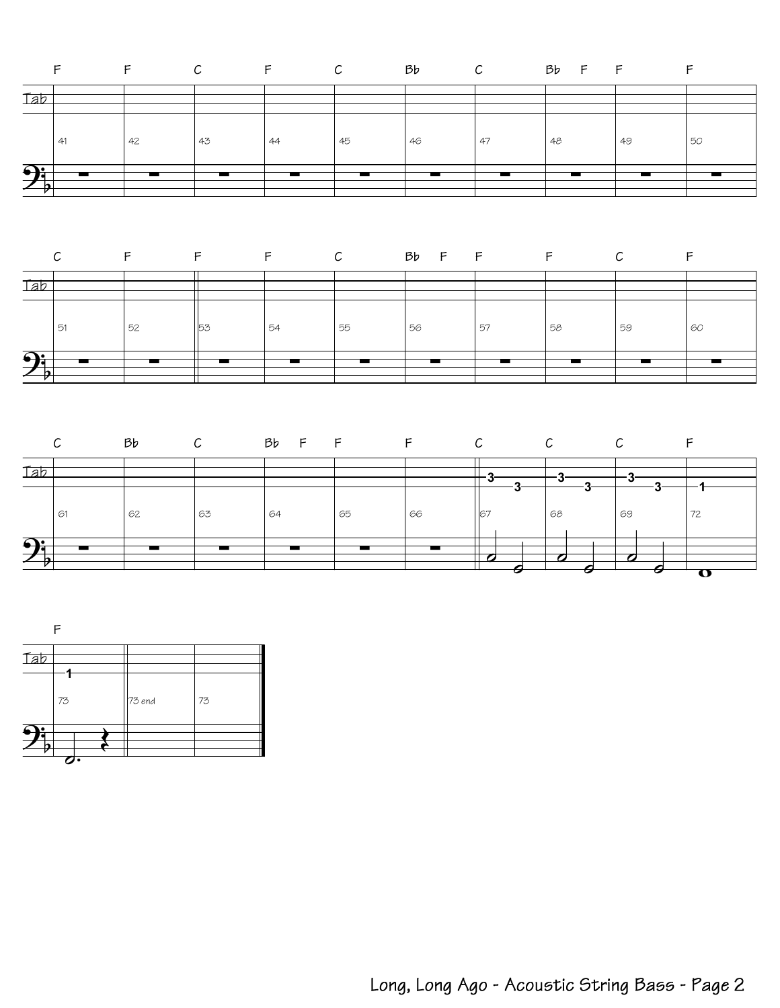

 $\mathsf F$ 

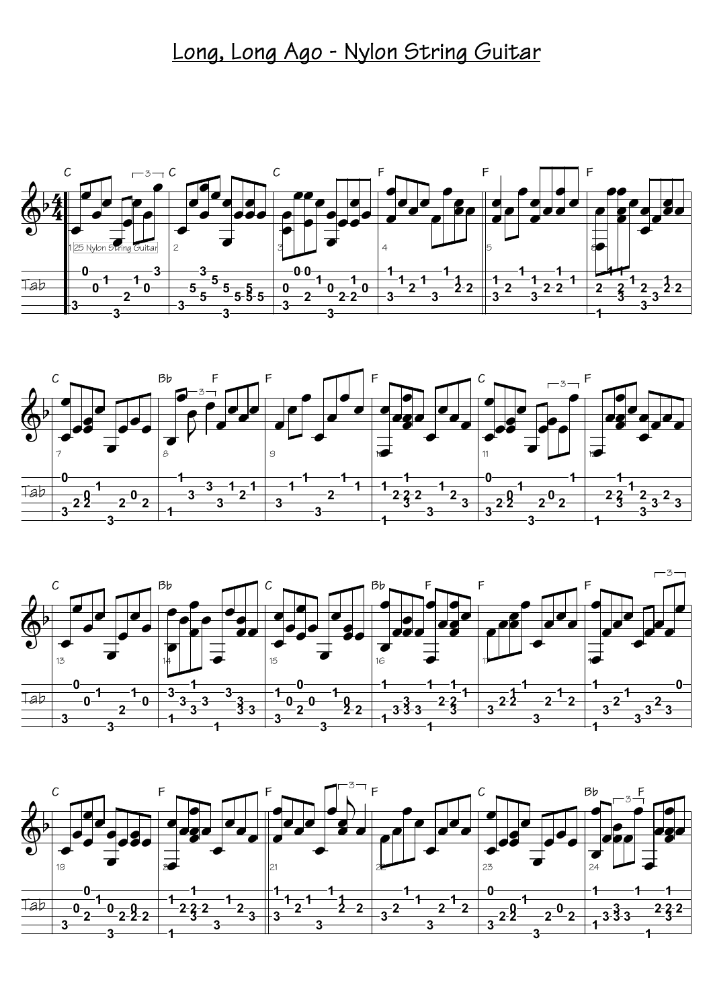## Long, Long Ago - Nylon String Guitar







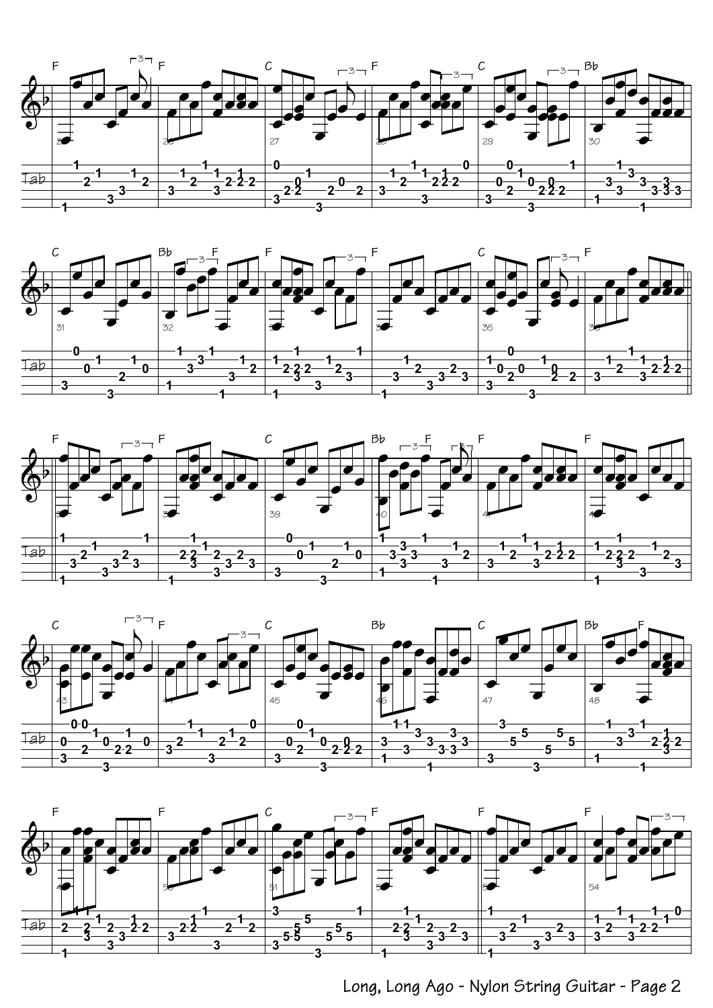









Long, Long Ago - Nylon String Guitar - Page 2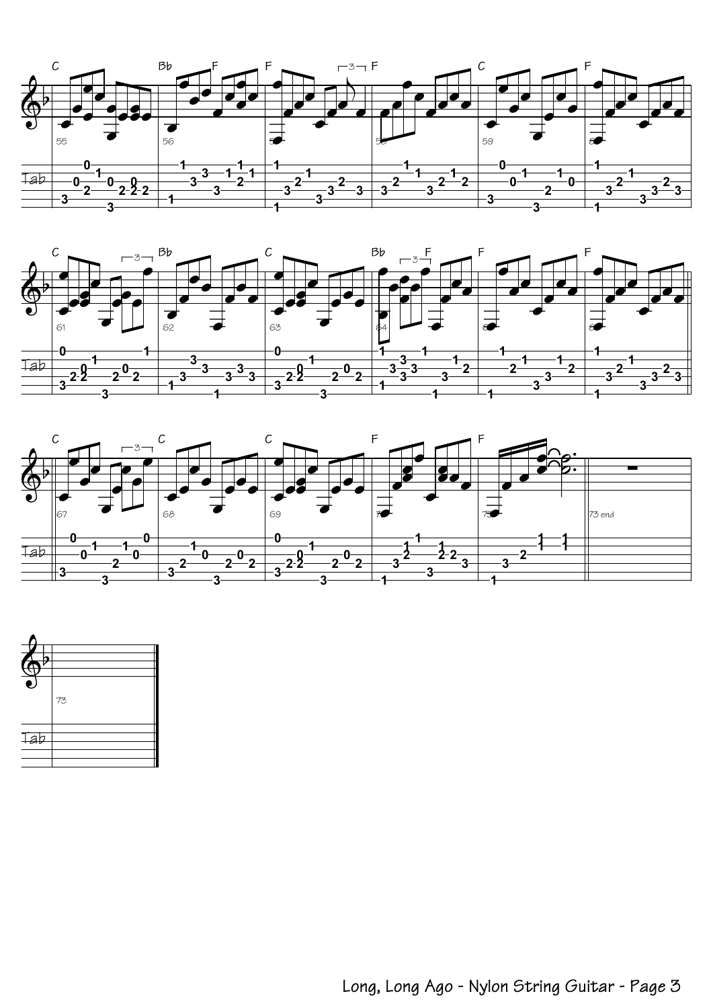





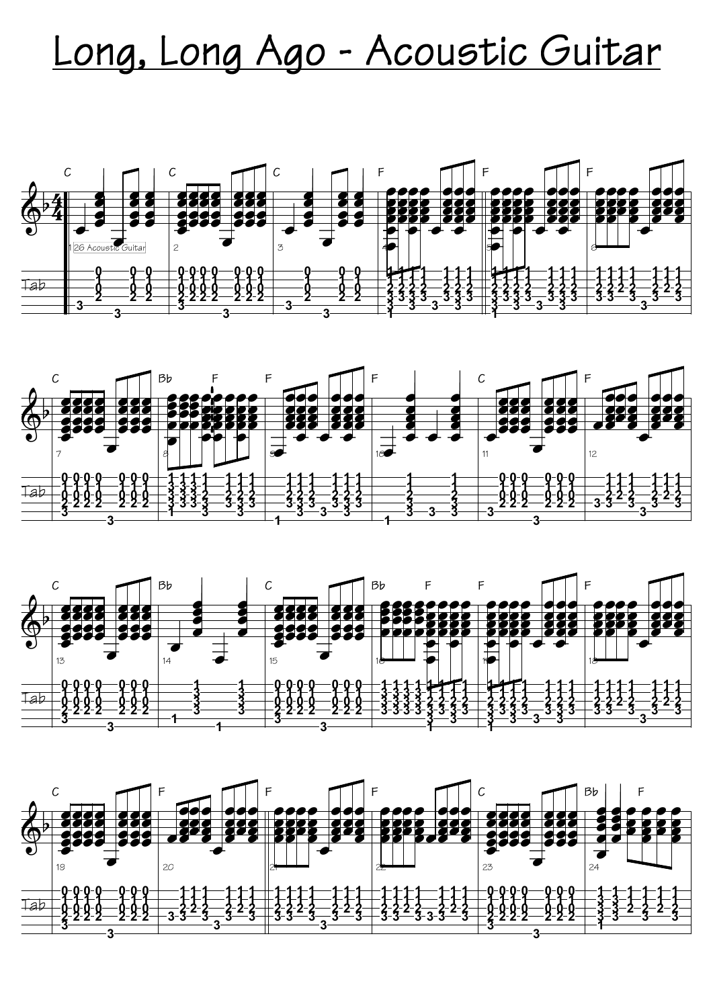## Long, Long Ago - Acoustic Guitar







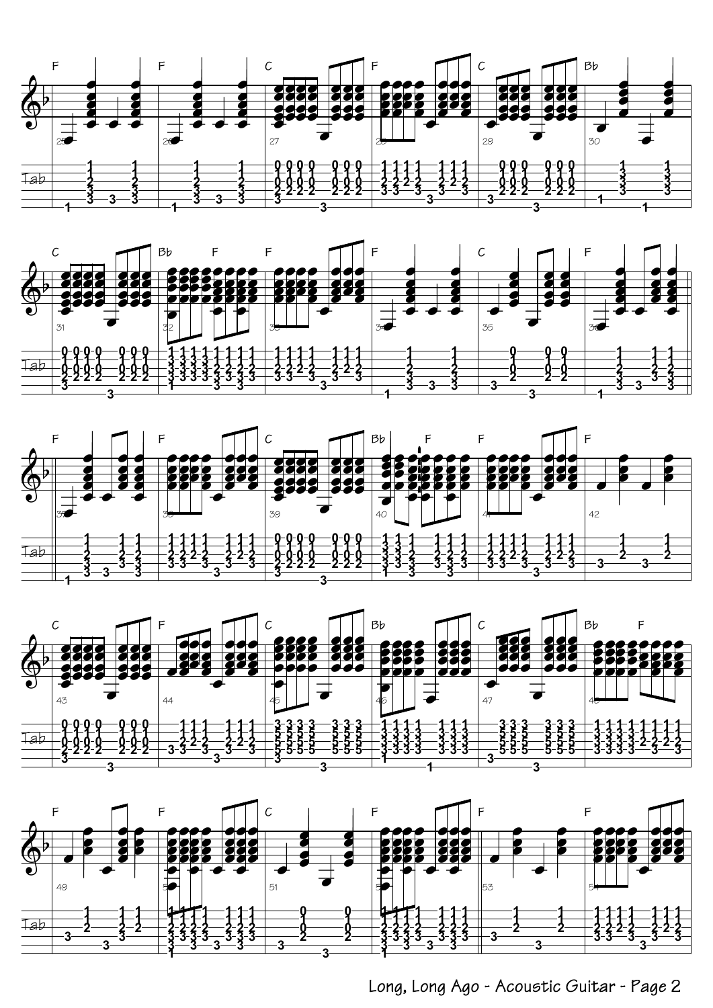









Long, Long Ago - Acoustic Guitar - Page 2